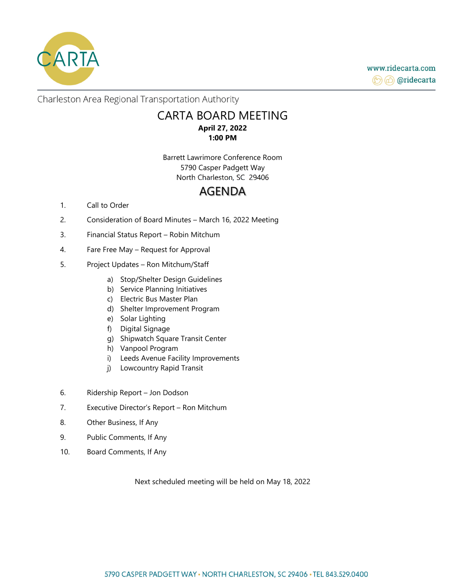

www.ridecarta.com (→ don'decarta

Charleston Area Regional Transportation Authority

# CARTA BOARD MEETING **April 27, 2022 1:00 PM**

Barrett Lawrimore Conference Room 5790 Casper Padgett Way North Charleston, SC 29406

# AGENDA

### 1. Call to Order

- 2. Consideration of Board Minutes March 16, 2022 Meeting
- 3. Financial Status Report Robin Mitchum
- 4. Fare Free May Request for Approval
- 5. Project Updates Ron Mitchum/Staff
	- a) Stop/Shelter Design Guidelines
	- b) Service Planning Initiatives
	- c) Electric Bus Master Plan
	- d) Shelter Improvement Program
	- e) Solar Lighting
	- f) Digital Signage
	- g) Shipwatch Square Transit Center
	- h) Vanpool Program
	- i) Leeds Avenue Facility Improvements
	- j) Lowcountry Rapid Transit
- 6. Ridership Report Jon Dodson
- 7. Executive Director's Report Ron Mitchum
- 8. Other Business, If Any
- 9. Public Comments, If Any
- 10. Board Comments, If Any

Next scheduled meeting will be held on May 18, 2022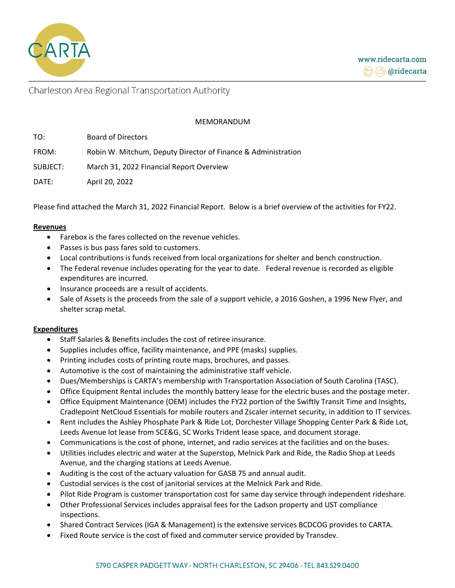

## Charleston Area Regional Transportation Authority

### MEMORANDUM

| TO:      | <b>Board of Directors</b>                                     |
|----------|---------------------------------------------------------------|
| FROM:    | Robin W. Mitchum, Deputy Director of Finance & Administration |
| SUBJECT: | March 31, 2022 Financial Report Overview                      |
| DATE:    | April 20, 2022                                                |

Please find attached the March 31, 2022 Financial Report. Below is a brief overview of the activities for FY22.

#### **Revenues**

- Farebox is the fares collected on the revenue vehicles.
- Passes is bus pass fares sold to customers.
- Local contributions is funds received from local organizations for shelter and bench construction.
- The Federal revenue includes operating for the year to date. Federal revenue is recorded as eligible expenditures are incurred.
- Insurance proceeds are a result of accidents.
- Sale of Assets is the proceeds from the sale of a support vehicle, a 2016 Goshen, a 1996 New Flyer, and shelter scrap metal.

### **Expenditures**

- Staff Salaries & Benefits includes the cost of retiree insurance.
- Supplies includes office, facility maintenance, and PPE (masks) supplies.
- Printing includes costs of printing route maps, brochures, and passes.
- Automotive is the cost of maintaining the administrative staff vehicle.
- Dues/Memberships is CARTA's membership with Transportation Association of South Carolina (TASC).
- Office Equipment Rental includes the monthly battery lease for the electric buses and the postage meter.
- Office Equipment Maintenance (OEM) includes the FY22 portion of the Swiftly Transit Time and Insights, Cradlepoint NetCloud Essentials for mobile routers and Zscaler internet security, in addition to IT services.
- Rent includes the Ashley Phosphate Park & Ride Lot, Dorchester Village Shopping Center Park & Ride Lot, Leeds Avenue lot lease from SCE&G, SC Works Trident lease space, and document storage.
- Communications is the cost of phone, internet, and radio services at the facilities and on the buses.
- Utilities includes electric and water at the Superstop, Melnick Park and Ride, the Radio Shop at Leeds Avenue, and the charging stations at Leeds Avenue.
- Auditing is the cost of the actuary valuation for GASB 75 and annual audit.
- Custodial services is the cost of janitorial services at the Melnick Park and Ride.
- Pilot Ride Program is customer transportation cost for same day service through independent rideshare.
- Other Professional Services includes appraisal fees for the Ladson property and UST compliance inspections.
- Shared Contract Services (IGA & Management) is the extensive services BCDCOG provides to CARTA.
- Fixed Route service is the cost of fixed and commuter service provided by Transdev.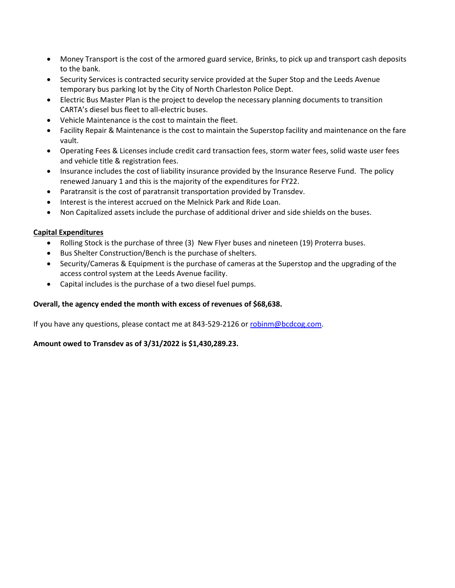- Money Transport is the cost of the armored guard service, Brinks, to pick up and transport cash deposits to the bank.
- Security Services is contracted security service provided at the Super Stop and the Leeds Avenue temporary bus parking lot by the City of North Charleston Police Dept.
- Electric Bus Master Plan is the project to develop the necessary planning documents to transition CARTA's diesel bus fleet to all-electric buses.
- Vehicle Maintenance is the cost to maintain the fleet.
- Facility Repair & Maintenance is the cost to maintain the Superstop facility and maintenance on the fare vault.
- Operating Fees & Licenses include credit card transaction fees, storm water fees, solid waste user fees and vehicle title & registration fees.
- Insurance includes the cost of liability insurance provided by the Insurance Reserve Fund. The policy renewed January 1 and this is the majority of the expenditures for FY22.
- Paratransit is the cost of paratransit transportation provided by Transdev.
- Interest is the interest accrued on the Melnick Park and Ride Loan.
- Non Capitalized assets include the purchase of additional driver and side shields on the buses.

### **Capital Expenditures**

- Rolling Stock is the purchase of three (3) New Flyer buses and nineteen (19) Proterra buses.
- Bus Shelter Construction/Bench is the purchase of shelters.
- Security/Cameras & Equipment is the purchase of cameras at the Superstop and the upgrading of the access control system at the Leeds Avenue facility.
- Capital includes is the purchase of a two diesel fuel pumps.

### **Overall, the agency ended the month with excess of revenues of \$68,638.**

If you have any questions, please contact me at 843-529-2126 o[r robinm@bcdcog.com.](mailto:robinm@bcdcog.com)

### **Amount owed to Transdev as of 3/31/2022 is \$1,430,289.23.**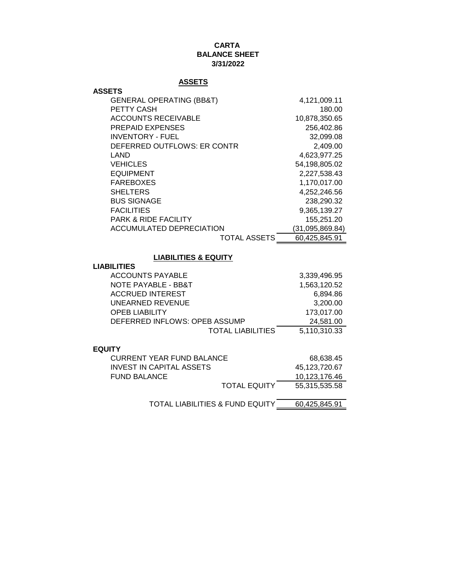### **CARTA BALANCE SHEET 3/31/2022**

### **ASSETS**

| <b>ASSETS</b>                       |                 |
|-------------------------------------|-----------------|
| <b>GENERAL OPERATING (BB&amp;T)</b> | 4,121,009.11    |
| PETTY CASH                          | 180.00          |
| <b>ACCOUNTS RECEIVABLE</b>          | 10,878,350.65   |
| <b>PREPAID EXPENSES</b>             | 256,402.86      |
| <b>INVENTORY - FUEL</b>             | 32,099.08       |
| DEFERRED OUTFLOWS: ER CONTR         | 2,409.00        |
| LAND                                | 4,623,977.25    |
| <b>VEHICLES</b>                     | 54,198,805.02   |
| <b>EQUIPMENT</b>                    | 2,227,538.43    |
| <b>FAREBOXES</b>                    | 1,170,017.00    |
| <b>SHELTERS</b>                     | 4,252,246.56    |
| <b>BUS SIGNAGE</b>                  | 238,290.32      |
| <b>FACILITIES</b>                   | 9,365,139.27    |
| <b>PARK &amp; RIDE FACILITY</b>     | 155,251.20      |
| ACCUMULATED DEPRECIATION            | (31,095,869.84) |
| TOTAL ASSETS                        | 60,425,845.91   |

### **LIABILITIES & EQUITY**

| <b>LIABILITIES</b> |  |
|--------------------|--|
|--------------------|--|

| <b>ACCOUNTS PAYABLE</b>       | 3,339,496.95 |
|-------------------------------|--------------|
| NOTE PAYABLE - BB&T           | 1,563,120.52 |
| <b>ACCRUED INTEREST</b>       | 6.894.86     |
| UNEARNED REVENUE              | 3.200.00     |
| <b>OPEB LIABILITY</b>         | 173,017.00   |
| DEFERRED INFLOWS: OPEB ASSUMP | 24.581.00    |
| <b>TOTAL LIABILITIES</b>      | 5,110,310.33 |
|                               |              |
| 11 <b>TV</b>                  |              |

### **EQUITY**

| CURRENT YEAR FUND BALANCE |                     | 68,638.45     |
|---------------------------|---------------------|---------------|
| INVEST IN CAPITAL ASSETS  |                     | 45.123.720.67 |
| <b>FUND BALANCE</b>       |                     | 10.123.176.46 |
|                           | <b>TOTAL EQUITY</b> | 55.315.535.58 |
|                           |                     |               |

TOTAL LIABILITIES & FUND EQUITY 60,425,845.91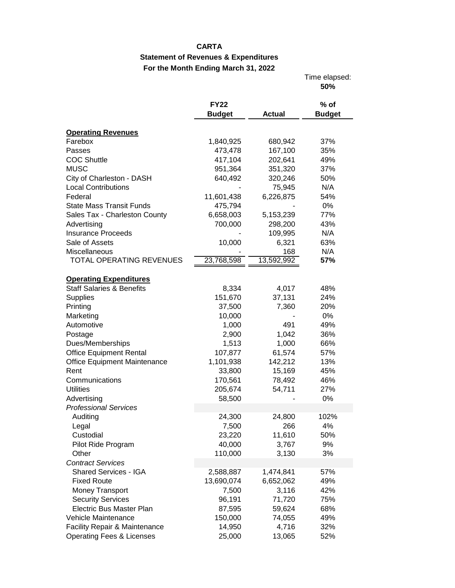### **CARTA**

## **Statement of Revenues & Expenditures For the Month Ending March 31, 2022**

|                                          |               |               | Time elapsed:<br>50% |
|------------------------------------------|---------------|---------------|----------------------|
|                                          | <b>FY22</b>   |               | $%$ of               |
|                                          | <b>Budget</b> | <b>Actual</b> | <b>Budget</b>        |
| <b>Operating Revenues</b>                |               |               |                      |
| Farebox                                  | 1,840,925     | 680,942       | 37%                  |
| Passes                                   | 473,478       | 167,100       | 35%                  |
| <b>COC Shuttle</b>                       | 417,104       | 202,641       | 49%                  |
| <b>MUSC</b>                              | 951,364       | 351,320       | 37%                  |
| City of Charleston - DASH                | 640,492       | 320,246       | 50%                  |
| <b>Local Contributions</b>               |               | 75,945        | N/A                  |
| Federal                                  | 11,601,438    | 6,226,875     | 54%                  |
| <b>State Mass Transit Funds</b>          | 475,794       |               | 0%                   |
| Sales Tax - Charleston County            | 6,658,003     | 5,153,239     | 77%                  |
| Advertising                              | 700,000       | 298,200       | 43%                  |
| <b>Insurance Proceeds</b>                |               | 109,995       | N/A                  |
| Sale of Assets                           | 10,000        | 6,321         | 63%                  |
| Miscellaneous                            |               | 168           | N/A                  |
| TOTAL OPERATING REVENUES                 | 23,768,598    | 13,592,992    | 57%                  |
|                                          |               |               |                      |
| <b>Operating Expenditures</b>            |               |               |                      |
| <b>Staff Salaries &amp; Benefits</b>     | 8,334         | 4,017         | 48%                  |
| <b>Supplies</b>                          | 151,670       | 37,131        | 24%                  |
| Printing                                 | 37,500        | 7,360         | 20%                  |
| Marketing                                | 10,000        |               | 0%                   |
| Automotive                               | 1,000         | 491           | 49%                  |
| Postage                                  | 2,900         | 1,042         | 36%                  |
| Dues/Memberships                         | 1,513         | 1,000         | 66%                  |
| <b>Office Equipment Rental</b>           | 107,877       | 61,574        | 57%                  |
| Office Equipment Maintenance             | 1,101,938     | 142,212       | 13%                  |
| Rent                                     | 33,800        | 15,169        | 45%                  |
| Communications                           | 170,561       | 78,492        | 46%                  |
| <b>Utilities</b>                         | 205,674       | 54,711        | 27%                  |
| Advertising                              | 58,500        |               | 0%                   |
| <b>Professional Services</b>             |               |               |                      |
| Auditing                                 | 24,300        | 24,800        | 102%                 |
| Legal                                    | 7,500         | 266           | 4%                   |
| Custodial                                | 23,220        | 11,610        | 50%                  |
| Pilot Ride Program                       | 40,000        | 3,767         | 9%                   |
| Other                                    | 110,000       | 3,130         | 3%                   |
| <b>Contract Services</b>                 |               |               |                      |
| Shared Services - IGA                    | 2,588,887     | 1,474,841     | 57%                  |
| <b>Fixed Route</b>                       | 13,690,074    | 6,652,062     | 49%                  |
| Money Transport                          | 7,500         | 3,116         | 42%                  |
| <b>Security Services</b>                 | 96,191        | 71,720        | 75%                  |
| <b>Electric Bus Master Plan</b>          | 87,595        | 59,624        | 68%                  |
| Vehicle Maintenance                      | 150,000       | 74,055        | 49%                  |
| <b>Facility Repair &amp; Maintenance</b> | 14,950        | 4,716         | 32%                  |
| <b>Operating Fees &amp; Licenses</b>     | 25,000        | 13,065        | 52%                  |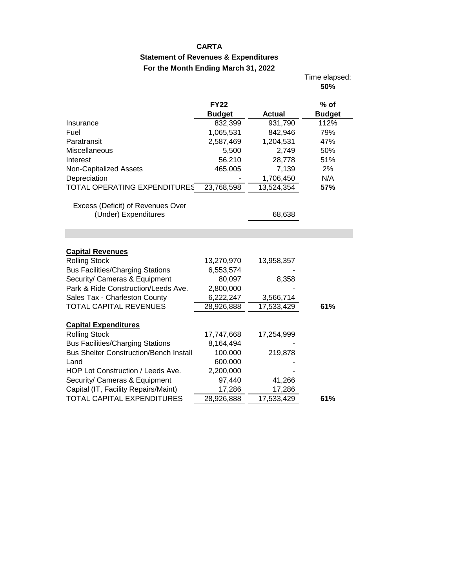### **CARTA**

## **Statement of Revenues & Expenditures For the Month Ending March 31, 2022**

Time elapsed:

|                                               |               |               | 50%           |
|-----------------------------------------------|---------------|---------------|---------------|
|                                               | <b>FY22</b>   |               | $%$ of        |
|                                               | <b>Budget</b> | <b>Actual</b> | <b>Budget</b> |
| Insurance                                     | 832,399       | 931,790       | 112%          |
| Fuel                                          | 1,065,531     | 842,946       | 79%           |
| Paratransit                                   | 2,587,469     | 1,204,531     | 47%           |
| Miscellaneous                                 | 5,500         | 2,749         | 50%           |
| Interest                                      | 56,210        | 28,778        | 51%           |
| Non-Capitalized Assets                        | 465,005       | 7,139         | 2%            |
| Depreciation                                  |               | 1,706,450     | N/A           |
| TOTAL OPERATING EXPENDITURES                  | 23,768,598    | 13,524,354    | 57%           |
|                                               |               |               |               |
| Excess (Deficit) of Revenues Over             |               |               |               |
| (Under) Expenditures                          |               | 68,638        |               |
|                                               |               |               |               |
|                                               |               |               |               |
| <b>Capital Revenues</b>                       |               |               |               |
| <b>Rolling Stock</b>                          | 13,270,970    | 13,958,357    |               |
| <b>Bus Facilities/Charging Stations</b>       | 6,553,574     |               |               |
| Security/ Cameras & Equipment                 | 80,097        | 8,358         |               |
| Park & Ride Construction/Leeds Ave.           | 2,800,000     |               |               |
| Sales Tax - Charleston County                 | 6,222,247     | 3,566,714     |               |
| TOTAL CAPITAL REVENUES                        | 28,926,888    | 17,533,429    | 61%           |
|                                               |               |               |               |
| <b>Capital Expenditures</b>                   |               |               |               |
| <b>Rolling Stock</b>                          | 17,747,668    | 17,254,999    |               |
| <b>Bus Facilities/Charging Stations</b>       | 8,164,494     |               |               |
| <b>Bus Shelter Construction/Bench Install</b> | 100,000       | 219,878       |               |
| Land                                          | 600,000       |               |               |
| HOP Lot Construction / Leeds Ave.             | 2,200,000     |               |               |
| Security/ Cameras & Equipment                 | 97,440        | 41,266        |               |
| Capital (IT, Facility Repairs/Maint)          | 17,286        | 17,286        |               |
| <b>TOTAL CAPITAL EXPENDITURES</b>             | 28,926,888    | 17,533,429    | 61%           |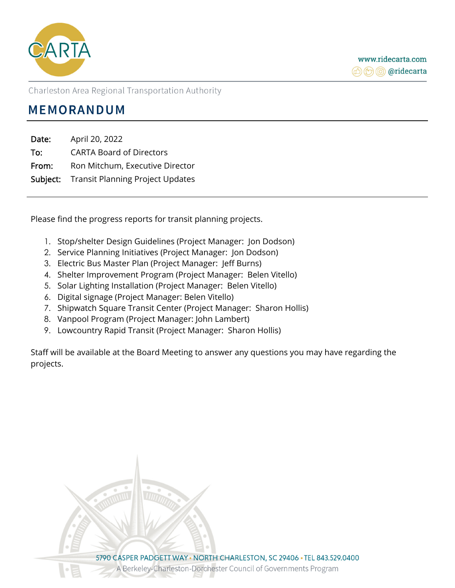

Charleston Area Regional Transportation Authority

# **MEMORANDUM**

Date: April 20, 2022 To: CARTA Board of Directors From: Ron Mitchum, Executive Director Subject: Transit Planning Project Updates

Please find the progress reports for transit planning projects.

- 1. Stop/shelter Design Guidelines (Project Manager: Jon Dodson)
- 2. Service Planning Initiatives (Project Manager: Jon Dodson)
- 3. Electric Bus Master Plan (Project Manager: Jeff Burns)
- 4. Shelter Improvement Program (Project Manager: Belen Vitello)
- 5. Solar Lighting Installation (Project Manager: Belen Vitello)
- 6. Digital signage (Project Manager: Belen Vitello)
- 7. Shipwatch Square Transit Center (Project Manager: Sharon Hollis)
- 8. Vanpool Program (Project Manager: John Lambert)
- 9. Lowcountry Rapid Transit (Project Manager: Sharon Hollis)

Staff will be available at the Board Meeting to answer any questions you may have regarding the projects.

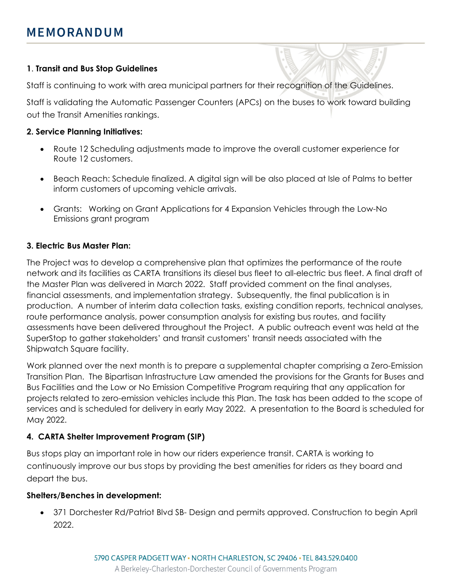## **1**. **Transit and Bus Stop Guidelines**

Staff is continuing to work with area municipal partners for their recognition of the Guidelines.

Staff is validating the Automatic Passenger Counters (APCs) on the buses to work toward building out the Transit Amenities rankings.

## **2. Service Planning Initiatives:**

- Route 12 Scheduling adjustments made to improve the overall customer experience for Route 12 customers.
- Beach Reach: Schedule finalized. A digital sign will be also placed at Isle of Palms to better inform customers of upcoming vehicle arrivals.
- Grants: Working on Grant Applications for 4 Expansion Vehicles through the Low-No Emissions grant program

# **3. Electric Bus Master Plan:**

The Project was to develop a comprehensive plan that optimizes the performance of the route network and its facilities as CARTA transitions its diesel bus fleet to all-electric bus fleet. A final draft of the Master Plan was delivered in March 2022. Staff provided comment on the final analyses, financial assessments, and implementation strategy. Subsequently, the final publication is in production. A number of interim data collection tasks, existing condition reports, technical analyses, route performance analysis, power consumption analysis for existing bus routes, and facility assessments have been delivered throughout the Project. A public outreach event was held at the SuperStop to gather stakeholders' and transit customers' transit needs associated with the Shipwatch Square facility.

Work planned over the next month is to prepare a supplemental chapter comprising a Zero-Emission Transition Plan. The Bipartisan Infrastructure Law amended the provisions for the Grants for Buses and Bus Facilities and the Low or No Emission Competitive Program requiring that any application for projects related to zero-emission vehicles include this Plan. The task has been added to the scope of services and is scheduled for delivery in early May 2022. A presentation to the Board is scheduled for May 2022.

# **4. CARTA Shelter Improvement Program (SIP)**

Bus stops play an important role in how our riders experience transit. CARTA is working to continuously improve our bus stops by providing the best amenities for riders as they board and depart the bus.

## **Shelters/Benches in development:**

 371 Dorchester Rd/Patriot Blvd SB- Design and permits approved. Construction to begin April 2022.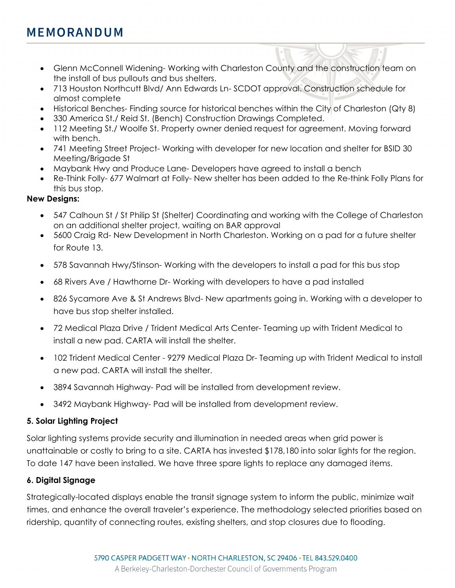# **MEMORANDUM**

- Glenn McConnell Widening- Working with Charleston County and the construction team on the install of bus pullouts and bus shelters.
- 713 Houston Northcutt Blvd/ Ann Edwards Ln- SCDOT approval. Construction schedule for almost complete
- Historical Benches- Finding source for historical benches within the City of Charleston (Qty 8)
- 330 America St./ Reid St. (Bench) Construction Drawings Completed.
- 112 Meeting St./ Woolfe St. Property owner denied request for agreement. Moving forward with bench.
- 741 Meeting Street Project- Working with developer for new location and shelter for BSID 30 Meeting/Brigade St
- Maybank Hwy and Produce Lane- Developers have agreed to install a bench
- Re-Think Folly- 677 Walmart at Folly- New shelter has been added to the Re-think Folly Plans for this bus stop.

## **New Designs:**

- 547 Calhoun St / St Philip St (Shelter) Coordinating and working with the College of Charleston on an additional shelter project, waiting on BAR approval
- 5600 Craig Rd- New Development in North Charleston. Working on a pad for a future shelter for Route 13.
- 578 Savannah Hwy/Stinson- Working with the developers to install a pad for this bus stop
- 68 Rivers Ave / Hawthorne Dr- Working with developers to have a pad installed
- 826 Sycamore Ave & St Andrews Blvd- New apartments going in. Working with a developer to have bus stop shelter installed.
- 72 Medical Plaza Drive / Trident Medical Arts Center- Teaming up with Trident Medical to install a new pad. CARTA will install the shelter.
- 102 Trident Medical Center 9279 Medical Plaza Dr- Teaming up with Trident Medical to install a new pad. CARTA will install the shelter.
- 3894 Savannah Highway- Pad will be installed from development review.
- 3492 Maybank Highway- Pad will be installed from development review.

# **5. Solar Lighting Project**

Solar lighting systems provide security and illumination in needed areas when grid power is unattainable or costly to bring to a site. CARTA has invested \$178,180 into solar lights for the region. To date 147 have been installed. We have three spare lights to replace any damaged items.

## **6. Digital Signage**

Strategically-located displays enable the transit signage system to inform the public, minimize wait times, and enhance the overall traveler's experience. The methodology selected priorities based on ridership, quantity of connecting routes, existing shelters, and stop closures due to flooding.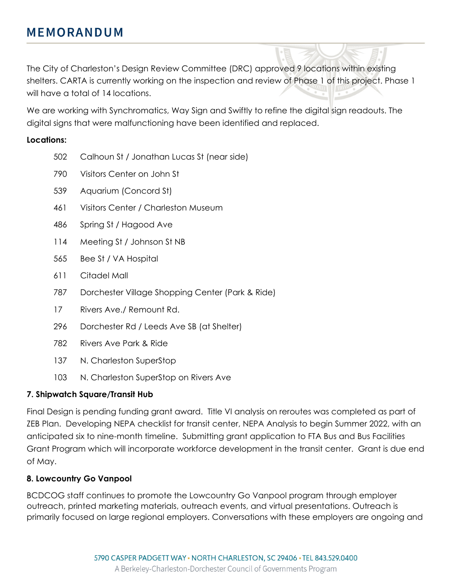The City of Charleston's Design Review Committee (DRC) approved 9 locations within existing shelters. CARTA is currently working on the inspection and review of Phase 1 of this project. Phase 1 will have a total of 14 locations.

We are working with Synchromatics, Way Sign and Swiftly to refine the digital sign readouts. The digital signs that were malfunctioning have been identified and replaced.

## **Locations:**

- 502 Calhoun St / Jonathan Lucas St (near side)
- 790 Visitors Center on John St
- 539 Aquarium (Concord St)
- 461 Visitors Center / Charleston Museum
- 486 Spring St / Hagood Ave
- 114 Meeting St / Johnson St NB
- 565 Bee St / VA Hospital
- 611 Citadel Mall
- 787 Dorchester Village Shopping Center (Park & Ride)
- 17 Rivers Ave./ Remount Rd.
- 296 Dorchester Rd / Leeds Ave SB (at Shelter)
- 782 Rivers Ave Park & Ride
- 137 N. Charleston SuperStop
- 103 N. Charleston SuperStop on Rivers Ave

# **7. Shipwatch Square/Transit Hub**

Final Design is pending funding grant award. Title VI analysis on reroutes was completed as part of ZEB Plan. Developing NEPA checklist for transit center, NEPA Analysis to begin Summer 2022, with an anticipated six to nine-month timeline. Submitting grant application to FTA Bus and Bus Facilities Grant Program which will incorporate workforce development in the transit center. Grant is due end of May.

# **8. Lowcountry Go Vanpool**

BCDCOG staff continues to promote the Lowcountry Go Vanpool program through employer outreach, printed marketing materials, outreach events, and virtual presentations. Outreach is primarily focused on large regional employers. Conversations with these employers are ongoing and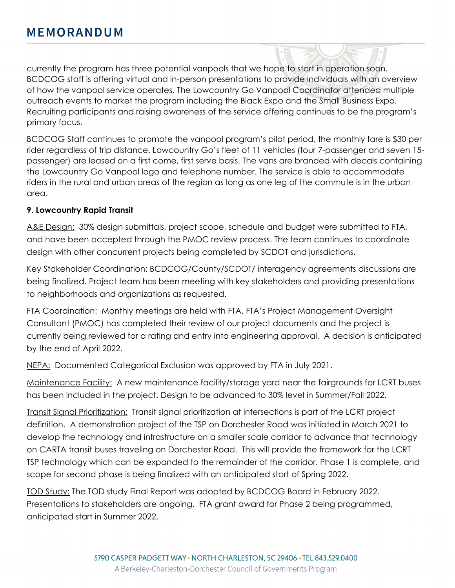currently the program has three potential vanpools that we hope to start in operation soon. BCDCOG staff is offering virtual and in-person presentations to provide individuals with an overview of how the vanpool service operates. The Lowcountry Go Vanpool Coordinator attended multiple outreach events to market the program including the Black Expo and the Small Business Expo. Recruiting participants and raising awareness of the service offering continues to be the program's primary focus.

BCDCOG Staff continues to promote the vanpool program's pilot period, the monthly fare is \$30 per rider regardless of trip distance. Lowcountry Go's fleet of 11 vehicles (four 7-passenger and seven 15 passenger) are leased on a first come, first serve basis. The vans are branded with decals containing the Lowcountry Go Vanpool logo and telephone number. The service is able to accommodate riders in the rural and urban areas of the region as long as one leg of the commute is in the urban area.

## **9. Lowcountry Rapid Transit**

A&E Design: 30% design submittals, project scope, schedule and budget were submitted to FTA, and have been accepted through the PMOC review process. The team continues to coordinate design with other concurrent projects being completed by SCDOT and jurisdictions.

Key Stakeholder Coordination: BCDCOG/County/SCDOT/ interagency agreements discussions are being finalized. Project team has been meeting with key stakeholders and providing presentations to neighborhoods and organizations as requested.

FTA Coordination: Monthly meetings are held with FTA. FTA's Project Management Oversight Consultant (PMOC) has completed their review of our project documents and the project is currently being reviewed for a rating and entry into engineering approval. A decision is anticipated by the end of April 2022.

NEPA: Documented Categorical Exclusion was approved by FTA in July 2021.

Maintenance Facility: A new maintenance facility/storage yard near the fairgrounds for LCRT buses has been included in the project. Design to be advanced to 30% level in Summer/Fall 2022.

Transit Signal Prioritization: Transit signal prioritization at intersections is part of the LCRT project definition. A demonstration project of the TSP on Dorchester Road was initiated in March 2021 to develop the technology and infrastructure on a smaller scale corridor to advance that technology on CARTA transit buses traveling on Dorchester Road. This will provide the framework for the LCRT TSP technology which can be expanded to the remainder of the corridor. Phase 1 is complete, and scope for second phase is being finalized with an anticipated start of Spring 2022.

TOD Study: The TOD study Final Report was adopted by BCDCOG Board in February 2022. Presentations to stakeholders are ongoing. FTA grant award for Phase 2 being programmed, anticipated start in Summer 2022.